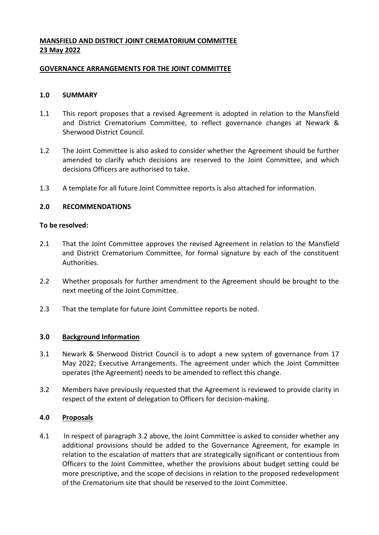# **MANSFIELD AND DISTRICT JOINT CREMATORIUM COMMITTEE 23 May 2022**

## **GOVERNANCE ARRANGEMENTS FOR THE JOINT COMMITTEE**

## **1.0 SUMMARY**

- 1.1 This report proposes that a revised Agreement is adopted in relation to the Mansfield and District Crematorium Committee, to reflect governance changes at Newark & Sherwood District Council.
- 1.2 The Joint Committee is also asked to consider whether the Agreement should be further amended to clarify which decisions are reserved to the Joint Committee, and which decisions Officers are authorised to take.
- 1.3 A template for all future Joint Committee reports is also attached for information.

# **2.0 RECOMMENDATIONS**

#### **To be resolved:**

- 2.1 That the Joint Committee approves the revised Agreement in relation to the Mansfield and District Crematorium Committee, for formal signature by each of the constituent Authorities.
- 2.2 Whether proposals for further amendment to the Agreement should be brought to the next meeting of the Joint Committee.
- 2.3 That the template for future Joint Committee reports be noted.

#### **3.0 Background Information**

- 3.1 Newark & Sherwood District Council is to adopt a new system of governance from 17 May 2022; Executive Arrangements. The agreement under which the Joint Committee operates (the Agreement) needs to be amended to reflect this change.
- 3.2 Members have previously requested that the Agreement is reviewed to provide clarity in respect of the extent of delegation to Officers for decision-making.

#### **4.0 Proposals**

4.1 In respect of paragraph 3.2 above, the Joint Committee is asked to consider whether any additional provisions should be added to the Governance Agreement, for example in relation to the escalation of matters that are strategically significant or contentious from Officers to the Joint Committee, whether the provisions about budget setting could be more prescriptive, and the scope of decisions in relation to the proposed redevelopment of the Crematorium site that should be reserved to the Joint Committee.